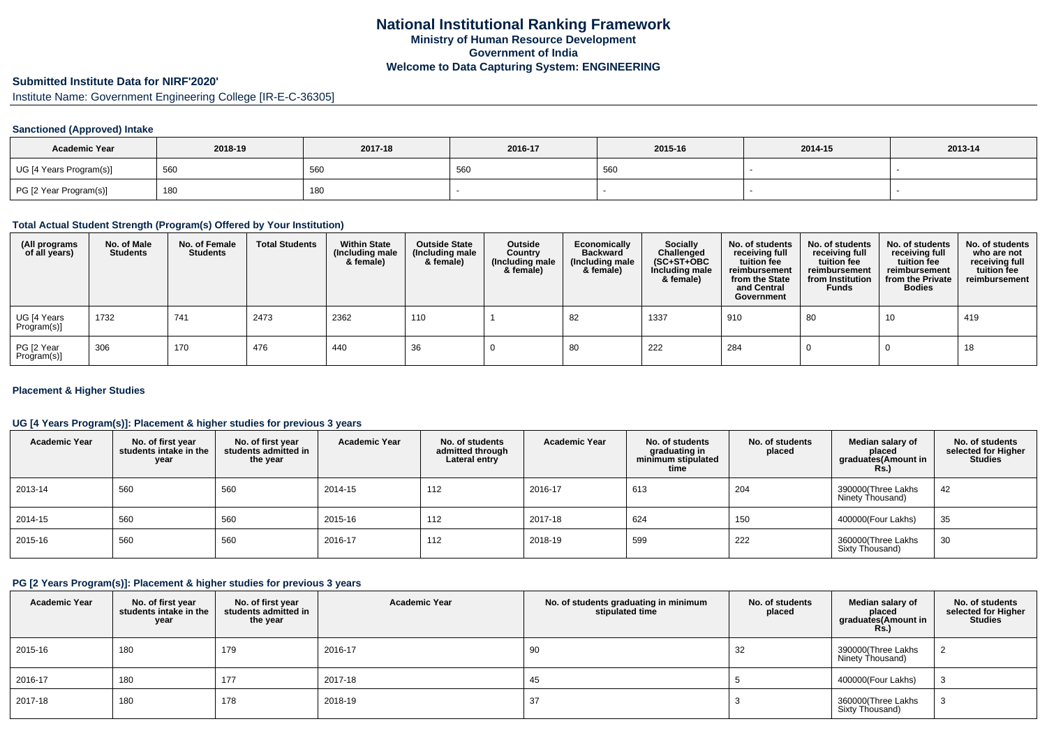# **Submitted Institute Data for NIRF'2020'**

Institute Name: Government Engineering College [IR-E-C-36305]

### **Sanctioned (Approved) Intake**

| <b>Academic Year</b>    | 2018-19 | 2017-18 | 2016-17 | 2015-16 | 2014-15 | 2013-14 |
|-------------------------|---------|---------|---------|---------|---------|---------|
| UG [4 Years Program(s)] | 560     | 560     | 560     | 560     |         |         |
| PG [2 Year Program(s)]  | 180     | 180     |         |         |         |         |

#### **Total Actual Student Strength (Program(s) Offered by Your Institution)**

| (All programs<br>of all years) | No. of Male<br><b>Students</b> | No. of Female<br><b>Students</b> | <b>Total Students</b> | <b>Within State</b><br>(Including male<br>& female) | <b>Outside State</b><br>(Including male<br>& female) | Outside<br>Country<br>Including male)<br>& female) | Economically<br><b>Backward</b><br>(Including male<br>& female) | Socially<br>Challenged<br>$(SC+ST+OBC)$<br>Including male<br>& female) | No. of students<br>receiving full<br>tuition fee<br>reimbursement<br>from the State<br>and Central<br>Government | No. of students<br>receiving full<br>tuition fee<br>reimbursement<br>from Institution<br><b>Funds</b> | No. of students<br>receiving full<br>tuition fee<br>reimbursement<br>from the Private<br><b>Bodies</b> | No. of students<br>who are not<br>receiving full<br>tuition fee<br>reimbursement |
|--------------------------------|--------------------------------|----------------------------------|-----------------------|-----------------------------------------------------|------------------------------------------------------|----------------------------------------------------|-----------------------------------------------------------------|------------------------------------------------------------------------|------------------------------------------------------------------------------------------------------------------|-------------------------------------------------------------------------------------------------------|--------------------------------------------------------------------------------------------------------|----------------------------------------------------------------------------------|
| UG [4 Years<br>Program(s)]     | 1732                           | 741                              | 2473                  | 2362                                                | 110                                                  |                                                    | 82                                                              | 1337                                                                   | 910                                                                                                              | -80                                                                                                   | 10                                                                                                     | 419                                                                              |
| PG [2 Year<br>Program(s)]      | 306                            | 170                              | 476                   | 440                                                 | 36                                                   |                                                    | -80                                                             | 222                                                                    | 284                                                                                                              |                                                                                                       |                                                                                                        | 18                                                                               |

#### **Placement & Higher Studies**

### **UG [4 Years Program(s)]: Placement & higher studies for previous 3 years**

| <b>Academic Year</b> | No. of first year<br>students intake in the<br>year | No. of first vear<br>students admitted in<br>the year | <b>Academic Year</b> | No. of students<br>admitted through<br>Lateral entry | <b>Academic Year</b> | No. of students<br>graduating in<br>minimum stipulated<br>time | No. of students<br>placed | Median salary of<br>placed<br>graduates(Amount in<br><b>Rs.)</b> | No. of students<br>selected for Higher<br><b>Studies</b> |
|----------------------|-----------------------------------------------------|-------------------------------------------------------|----------------------|------------------------------------------------------|----------------------|----------------------------------------------------------------|---------------------------|------------------------------------------------------------------|----------------------------------------------------------|
| 2013-14              | 560                                                 | 560                                                   | 2014-15              | 112                                                  | 2016-17              | 613                                                            | 204                       | 390000(Three Lakhs<br>Ninety Thousand)                           | 42                                                       |
| 2014-15              | 560                                                 | 560                                                   | 2015-16              | 112                                                  | 2017-18              | 624                                                            | 150                       | 400000(Four Lakhs)                                               | 35                                                       |
| 2015-16              | 560                                                 | 560                                                   | 2016-17              | 112                                                  | 2018-19              | 599                                                            | 222                       | 360000(Three Lakhs<br>Sixty Thousand)                            | 30                                                       |

### **PG [2 Years Program(s)]: Placement & higher studies for previous 3 years**

| <b>Academic Year</b> | No. of first year<br>students intake in the<br>year | No. of first year<br>students admitted in<br>the year | <b>Academic Year</b> | No. of students graduating in minimum<br>stipulated time | No. of students<br>placed | Median salary of<br>placed<br>graduates (Amount in<br>Rs.) | No. of students<br>selected for Higher<br><b>Studies</b> |
|----------------------|-----------------------------------------------------|-------------------------------------------------------|----------------------|----------------------------------------------------------|---------------------------|------------------------------------------------------------|----------------------------------------------------------|
| 2015-16              | 180                                                 | 179                                                   | 2016-17              | 90                                                       | 32                        | 390000(Three Lakhs<br>Ninety Thousand)                     |                                                          |
| 2016-17              | 180                                                 | 177                                                   | 2017-18              | 45                                                       |                           | 400000(Four Lakhs)                                         |                                                          |
| 2017-18              | 180                                                 | 178                                                   | 2018-19              | 37                                                       |                           | 360000(Three Lakhs<br>Sixty Thousand)                      |                                                          |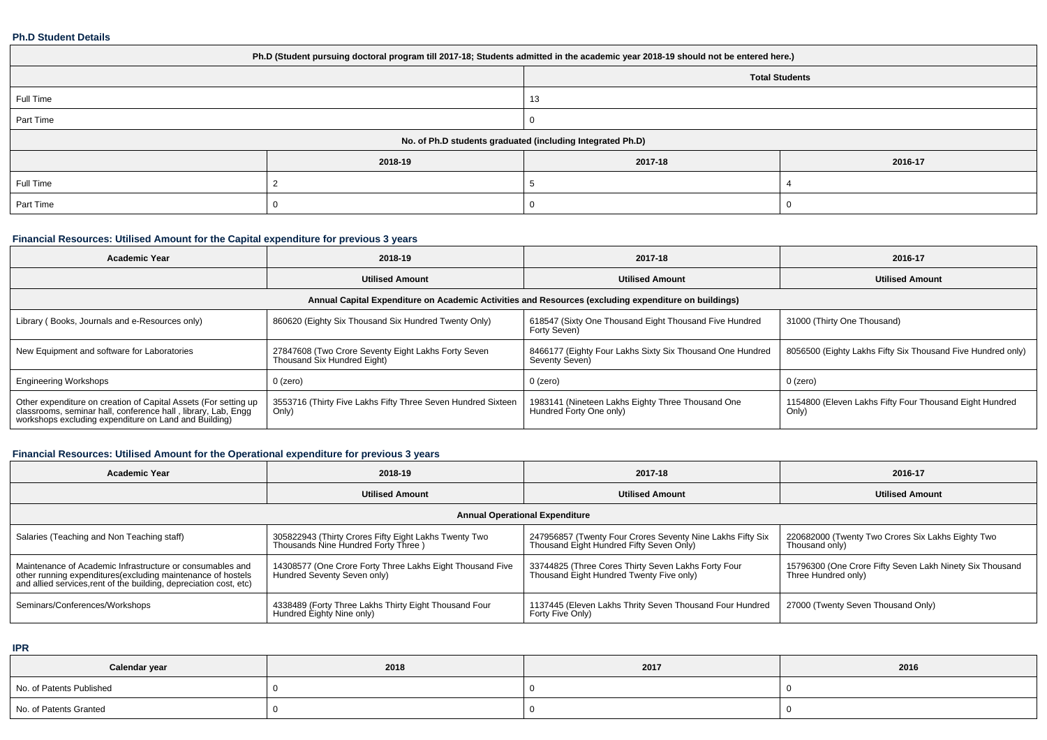#### **Ph.D Student Details**

| Ph.D (Student pursuing doctoral program till 2017-18; Students admitted in the academic year 2018-19 should not be entered here.) |         |         |                       |  |  |
|-----------------------------------------------------------------------------------------------------------------------------------|---------|---------|-----------------------|--|--|
|                                                                                                                                   |         |         | <b>Total Students</b> |  |  |
| Full Time                                                                                                                         |         | 13      |                       |  |  |
| Part Time                                                                                                                         |         |         |                       |  |  |
| No. of Ph.D students graduated (including Integrated Ph.D)                                                                        |         |         |                       |  |  |
|                                                                                                                                   | 2018-19 | 2017-18 | 2016-17               |  |  |
| Full Time                                                                                                                         |         |         |                       |  |  |
| Part Time                                                                                                                         |         |         |                       |  |  |

# **Financial Resources: Utilised Amount for the Capital expenditure for previous 3 years**

| <b>Academic Year</b>                                                                                                                                                                   | 2018-19                                                                                              | 2017-18                                                                      | 2016-17                                                          |  |  |  |  |
|----------------------------------------------------------------------------------------------------------------------------------------------------------------------------------------|------------------------------------------------------------------------------------------------------|------------------------------------------------------------------------------|------------------------------------------------------------------|--|--|--|--|
|                                                                                                                                                                                        | <b>Utilised Amount</b>                                                                               | <b>Utilised Amount</b>                                                       | <b>Utilised Amount</b>                                           |  |  |  |  |
|                                                                                                                                                                                        | Annual Capital Expenditure on Academic Activities and Resources (excluding expenditure on buildings) |                                                                              |                                                                  |  |  |  |  |
| Library (Books, Journals and e-Resources only)                                                                                                                                         | 860620 (Eighty Six Thousand Six Hundred Twenty Only)                                                 | 618547 (Sixty One Thousand Eight Thousand Five Hundred<br>Forty Seven)       | 31000 (Thirty One Thousand)                                      |  |  |  |  |
| New Equipment and software for Laboratories                                                                                                                                            | 27847608 (Two Crore Seventy Eight Lakhs Forty Seven<br>Thousand Six Hundred Eight)                   | 8466177 (Eighty Four Lakhs Sixty Six Thousand One Hundred<br>Seventy Seven)  | 8056500 (Eighty Lakhs Fifty Six Thousand Five Hundred only)      |  |  |  |  |
| <b>Engineering Workshops</b>                                                                                                                                                           | $0$ (zero)                                                                                           | $0$ (zero)                                                                   | 0 (zero)                                                         |  |  |  |  |
| Other expenditure on creation of Capital Assets (For setting up classrooms, seminar hall, conference hall, library, Lab, Engg<br>workshops excluding expenditure on Land and Building) | 3553716 (Thirty Five Lakhs Fifty Three Seven Hundred Sixteen<br>Only)                                | 1983141 (Nineteen Lakhs Eighty Three Thousand One<br>Hundred Forty One only) | 1154800 (Eleven Lakhs Fifty Four Thousand Eight Hundred<br>Only) |  |  |  |  |

# **Financial Resources: Utilised Amount for the Operational expenditure for previous 3 years**

| <b>Academic Year</b>                                                                                                                                                                            | 2018-19                                                                                      | 2017-18                                                                                                | 2016-17                                                                         |  |  |  |
|-------------------------------------------------------------------------------------------------------------------------------------------------------------------------------------------------|----------------------------------------------------------------------------------------------|--------------------------------------------------------------------------------------------------------|---------------------------------------------------------------------------------|--|--|--|
|                                                                                                                                                                                                 | <b>Utilised Amount</b>                                                                       | <b>Utilised Amount</b>                                                                                 | <b>Utilised Amount</b>                                                          |  |  |  |
| <b>Annual Operational Expenditure</b>                                                                                                                                                           |                                                                                              |                                                                                                        |                                                                                 |  |  |  |
| Salaries (Teaching and Non Teaching staff)                                                                                                                                                      | 305822943 (Thirty Crores Fifty Eight Lakhs Twenty Two<br>Thousands Nine Hundred Forty Three) | 247956857 (Twenty Four Crores Seventy Nine Lakhs Fifty Six<br>Thousand Eight Hundred Fifty Seven Only) | 220682000 (Twenty Two Crores Six Lakhs Eighty Two<br>Thousand only)             |  |  |  |
| Maintenance of Academic Infrastructure or consumables and<br>other running expenditures (excluding maintenance of hostels<br>and allied services, rent of the building, depreciation cost, etc) | 14308577 (One Crore Forty Three Lakhs Eight Thousand Five<br>Hundred Seventy Seven only)     | 33744825 (Three Cores Thirty Seven Lakhs Forty Four<br>Thousand Eight Hundred Twenty Five only)        | 15796300 (One Crore Fifty Seven Lakh Ninety Six Thousand<br>Three Hundred only) |  |  |  |
| Seminars/Conferences/Workshops                                                                                                                                                                  | 4338489 (Forty Three Lakhs Thirty Eight Thousand Four<br>Hundred Eighty Nine only)           | 1137445 (Eleven Lakhs Thrity Seven Thousand Four Hundred<br>Forty Five Only)                           | 27000 (Twenty Seven Thousand Only)                                              |  |  |  |

**IPR**

| Calendar year            | 2018 | 2017 | 2016 |
|--------------------------|------|------|------|
| No. of Patents Published |      |      |      |
| No. of Patents Granted   |      |      |      |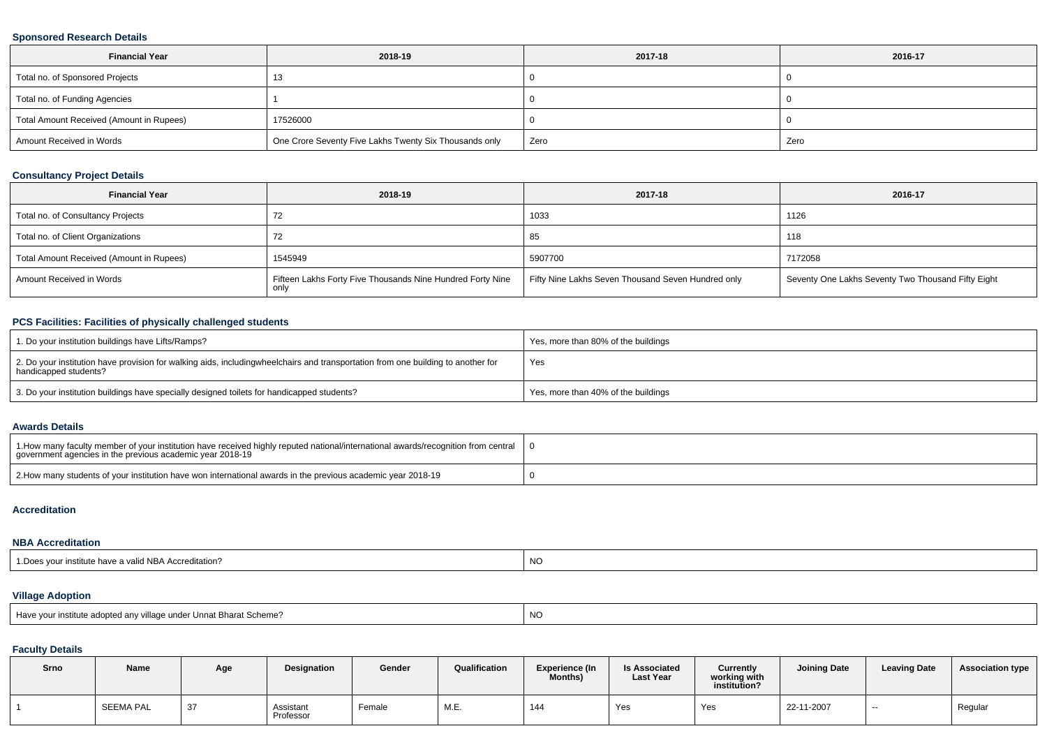### **Sponsored Research Details**

| <b>Financial Year</b>                    | 2018-19                                                | 2017-18 | 2016-17 |
|------------------------------------------|--------------------------------------------------------|---------|---------|
| Total no. of Sponsored Projects          | . .                                                    |         |         |
| Total no. of Funding Agencies            |                                                        |         |         |
| Total Amount Received (Amount in Rupees) | 17526000                                               |         |         |
| Amount Received in Words                 | One Crore Seventy Five Lakhs Twenty Six Thousands only | Zero    | Zero    |

### **Consultancy Project Details**

| <b>Financial Year</b>                    | 2018-19                                                            | 2017-18                                            | 2016-17                                            |
|------------------------------------------|--------------------------------------------------------------------|----------------------------------------------------|----------------------------------------------------|
| Total no. of Consultancy Projects        |                                                                    | 1033                                               | 1126                                               |
| Total no. of Client Organizations        | 72                                                                 | 85                                                 | 118                                                |
| Total Amount Received (Amount in Rupees) | 1545949                                                            | 5907700                                            | 7172058                                            |
| Amount Received in Words                 | Fifteen Lakhs Forty Five Thousands Nine Hundred Forty Nine<br>only | Fifty Nine Lakhs Seven Thousand Seven Hundred only | Seventy One Lakhs Seventy Two Thousand Fifty Eight |

## **PCS Facilities: Facilities of physically challenged students**

| 1. Do your institution buildings have Lifts/Ramps?                                                                                                        | Yes, more than 80% of the buildings |
|-----------------------------------------------------------------------------------------------------------------------------------------------------------|-------------------------------------|
| 2. Do your institution have provision for walking aids, includingwheelchairs and transportation from one building to another for<br>handicapped students? | Yes                                 |
| 3. Do your institution buildings have specially designed toilets for handicapped students?                                                                | Yes, more than 40% of the buildings |

#### **Awards Details**

| 1. How many faculty member of your institution have received highly reputed national/international awards/recognition from central<br>government agencies in the previous academic year 2018-19 |  |
|-------------------------------------------------------------------------------------------------------------------------------------------------------------------------------------------------|--|
| 2. 2018-19 2. How many students of your institution have won international awards in the previous academic year 2018-19                                                                         |  |

#### **Accreditation**

## **NBA Accreditation**

| ir institute have a valid NBA Accreditation?<br><sup>1</sup> Does your i. | <b>NO</b> |
|---------------------------------------------------------------------------|-----------|
|---------------------------------------------------------------------------|-----------|

## **Village Adoption**

| Have your institute adopted any village under Unnat Bharat Scheme? | <b>NC</b> |
|--------------------------------------------------------------------|-----------|
|                                                                    |           |

## **Faculty Details**

| Srno | Name      | Age          | <b>Designation</b>     | Gender | Qualification | Experience (In<br><b>Months)</b> | <b>Is Associated</b><br><b>Last Year</b> | Currently<br>working with<br>institution? | <b>Joining Date</b> | <b>Leaving Date</b> | <b>Association type</b> |
|------|-----------|--------------|------------------------|--------|---------------|----------------------------------|------------------------------------------|-------------------------------------------|---------------------|---------------------|-------------------------|
|      | SEEMA PAL | $\sim$<br>31 | Assistant<br>Professor | Female | M.E.          | 144                              | Yes                                      | Yes                                       | 22-11-2007          | $- -$               | Regular                 |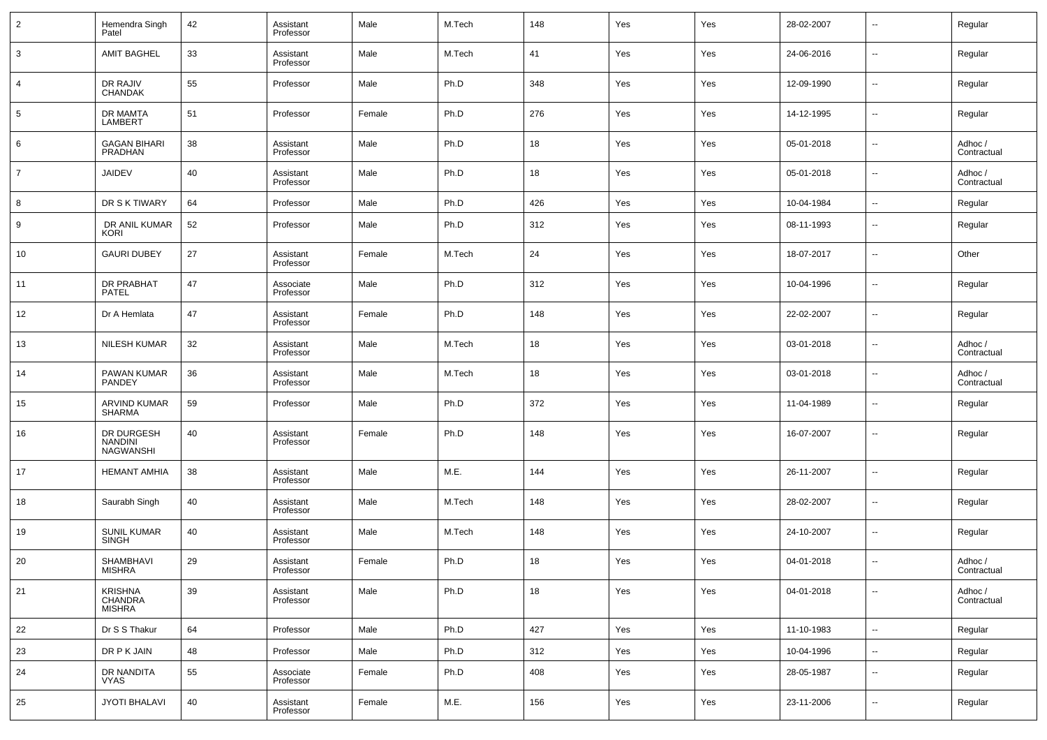| $\overline{2}$ | Hemendra Singh<br>Patel                          | 42 | Assistant<br>Professor | Male   | M.Tech | 148 | Yes | Yes | 28-02-2007 | --                       | Regular                |
|----------------|--------------------------------------------------|----|------------------------|--------|--------|-----|-----|-----|------------|--------------------------|------------------------|
| 3              | <b>AMIT BAGHEL</b>                               | 33 | Assistant<br>Professor | Male   | M.Tech | 41  | Yes | Yes | 24-06-2016 | $\overline{\phantom{a}}$ | Regular                |
| 4              | DR RAJIV<br><b>CHANDAK</b>                       | 55 | Professor              | Male   | Ph.D   | 348 | Yes | Yes | 12-09-1990 | $\overline{\phantom{a}}$ | Regular                |
| 5              | DR MAMTA<br>LAMBERT                              | 51 | Professor              | Female | Ph.D   | 276 | Yes | Yes | 14-12-1995 | --                       | Regular                |
| 6              | <b>GAGAN BIHARI</b><br>PRADHAN                   | 38 | Assistant<br>Professor | Male   | Ph.D   | 18  | Yes | Yes | 05-01-2018 | $\overline{\phantom{a}}$ | Adhoc /<br>Contractual |
| $\overline{7}$ | <b>JAIDEV</b>                                    | 40 | Assistant<br>Professor | Male   | Ph.D   | 18  | Yes | Yes | 05-01-2018 | --                       | Adhoc /<br>Contractual |
| 8              | DR S K TIWARY                                    | 64 | Professor              | Male   | Ph.D   | 426 | Yes | Yes | 10-04-1984 | $\overline{\phantom{a}}$ | Regular                |
| 9              | DR ANIL KUMAR<br>KORI                            | 52 | Professor              | Male   | Ph.D   | 312 | Yes | Yes | 08-11-1993 | $\overline{\phantom{a}}$ | Regular                |
| 10             | <b>GAURI DUBEY</b>                               | 27 | Assistant<br>Professor | Female | M.Tech | 24  | Yes | Yes | 18-07-2017 | $\overline{\phantom{a}}$ | Other                  |
| 11             | DR PRABHAT<br><b>PATEL</b>                       | 47 | Associate<br>Professor | Male   | Ph.D   | 312 | Yes | Yes | 10-04-1996 | $\overline{\phantom{a}}$ | Regular                |
| 12             | Dr A Hemlata                                     | 47 | Assistant<br>Professor | Female | Ph.D   | 148 | Yes | Yes | 22-02-2007 | $\overline{\phantom{a}}$ | Regular                |
| 13             | <b>NILESH KUMAR</b>                              | 32 | Assistant<br>Professor | Male   | M.Tech | 18  | Yes | Yes | 03-01-2018 | $\overline{\phantom{a}}$ | Adhoc /<br>Contractual |
| 14             | PAWAN KUMAR<br>PANDEY                            | 36 | Assistant<br>Professor | Male   | M.Tech | 18  | Yes | Yes | 03-01-2018 | $\overline{\phantom{a}}$ | Adhoc /<br>Contractual |
| 15             | <b>ARVIND KUMAR</b><br><b>SHARMA</b>             | 59 | Professor              | Male   | Ph.D   | 372 | Yes | Yes | 11-04-1989 | $\overline{\phantom{a}}$ | Regular                |
| 16             | DR DURGESH<br><b>NANDINI</b><br><b>NAGWANSHI</b> | 40 | Assistant<br>Professor | Female | Ph.D   | 148 | Yes | Yes | 16-07-2007 | $\overline{\phantom{a}}$ | Regular                |
| 17             | <b>HEMANT AMHIA</b>                              | 38 | Assistant<br>Professor | Male   | M.E.   | 144 | Yes | Yes | 26-11-2007 | --                       | Regular                |
| 18             | Saurabh Singh                                    | 40 | Assistant<br>Professor | Male   | M.Tech | 148 | Yes | Yes | 28-02-2007 | --                       | Regular                |
| 19             | <b>SUNIL KUMAR</b><br><b>SINGH</b>               | 40 | Assistant<br>Professor | Male   | M.Tech | 148 | Yes | Yes | 24-10-2007 | --                       | Regular                |
| 20             | SHAMBHAVI<br><b>MISHRA</b>                       | 29 | Assistant<br>Professor | Female | Ph.D   | 18  | Yes | Yes | 04-01-2018 | $\sim$                   | Adhoc /<br>Contractual |
| 21             | <b>KRISHNA</b><br>CHANDRA<br>MISHRA              | 39 | Assistant<br>Professor | Male   | Ph.D   | 18  | Yes | Yes | 04-01-2018 | $\overline{\phantom{a}}$ | Adhoc /<br>Contractual |
| 22             | Dr S S Thakur                                    | 64 | Professor              | Male   | Ph.D   | 427 | Yes | Yes | 11-10-1983 | $\overline{\phantom{a}}$ | Regular                |
| 23             | DR P K JAIN                                      | 48 | Professor              | Male   | Ph.D   | 312 | Yes | Yes | 10-04-1996 | ۰.                       | Regular                |
| 24             | DR NANDITA<br><b>VYAS</b>                        | 55 | Associate<br>Professor | Female | Ph.D   | 408 | Yes | Yes | 28-05-1987 | $\overline{\phantom{a}}$ | Regular                |
| 25             | JYOTI BHALAVI                                    | 40 | Assistant<br>Professor | Female | M.E.   | 156 | Yes | Yes | 23-11-2006 | $\overline{\phantom{a}}$ | Regular                |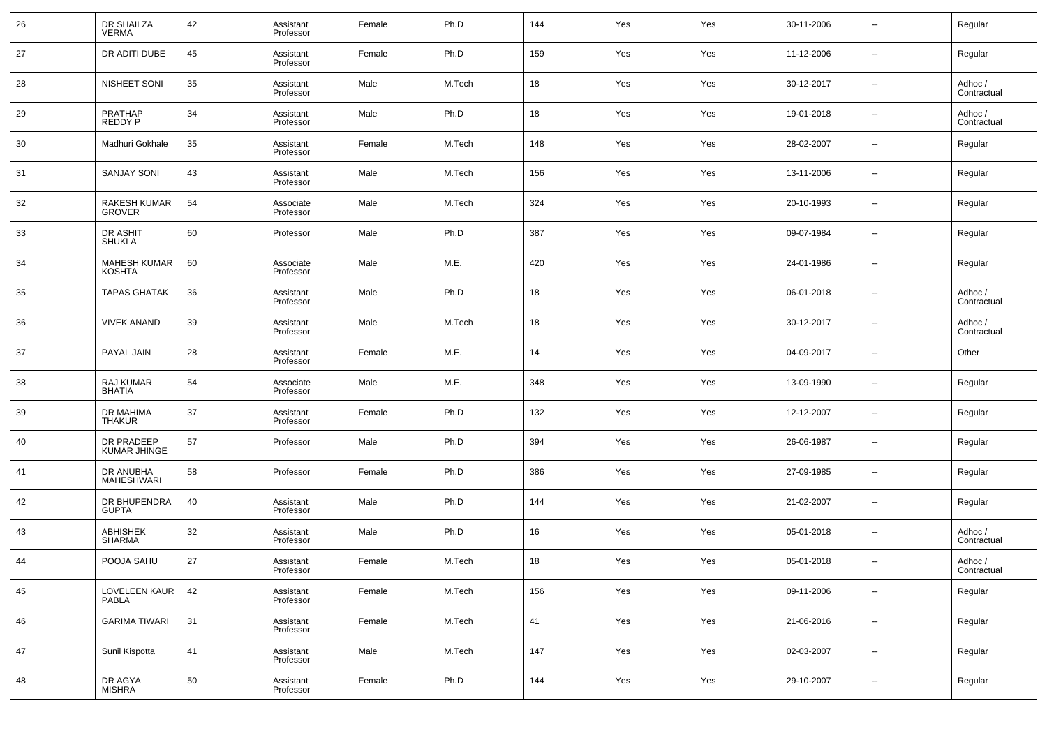| 26 | DR SHAILZA<br><b>VERMA</b>           | 42 | Assistant<br>Professor | Female | Ph.D   | 144 | Yes | Yes | 30-11-2006 | $\overline{\phantom{a}}$ | Regular                |
|----|--------------------------------------|----|------------------------|--------|--------|-----|-----|-----|------------|--------------------------|------------------------|
| 27 | DR ADITI DUBE                        | 45 | Assistant<br>Professor | Female | Ph.D   | 159 | Yes | Yes | 11-12-2006 | $\overline{\phantom{a}}$ | Regular                |
| 28 | NISHEET SONI                         | 35 | Assistant<br>Professor | Male   | M.Tech | 18  | Yes | Yes | 30-12-2017 | $\overline{\phantom{a}}$ | Adhoc /<br>Contractual |
| 29 | PRATHAP<br><b>REDDY P</b>            | 34 | Assistant<br>Professor | Male   | Ph.D   | 18  | Yes | Yes | 19-01-2018 | $\overline{\phantom{a}}$ | Adhoc /<br>Contractual |
| 30 | Madhuri Gokhale                      | 35 | Assistant<br>Professor | Female | M.Tech | 148 | Yes | Yes | 28-02-2007 | $\overline{\phantom{a}}$ | Regular                |
| 31 | <b>SANJAY SONI</b>                   | 43 | Assistant<br>Professor | Male   | M.Tech | 156 | Yes | Yes | 13-11-2006 | $\overline{\phantom{a}}$ | Regular                |
| 32 | <b>RAKESH KUMAR</b><br><b>GROVER</b> | 54 | Associate<br>Professor | Male   | M.Tech | 324 | Yes | Yes | 20-10-1993 | $\overline{\phantom{a}}$ | Regular                |
| 33 | DR ASHIT<br><b>SHUKLA</b>            | 60 | Professor              | Male   | Ph.D   | 387 | Yes | Yes | 09-07-1984 | $\overline{\phantom{a}}$ | Regular                |
| 34 | <b>MAHESH KUMAR</b><br><b>KOSHTA</b> | 60 | Associate<br>Professor | Male   | M.E.   | 420 | Yes | Yes | 24-01-1986 | $\overline{\phantom{a}}$ | Regular                |
| 35 | <b>TAPAS GHATAK</b>                  | 36 | Assistant<br>Professor | Male   | Ph.D   | 18  | Yes | Yes | 06-01-2018 | $\overline{\phantom{a}}$ | Adhoc /<br>Contractual |
| 36 | <b>VIVEK ANAND</b>                   | 39 | Assistant<br>Professor | Male   | M.Tech | 18  | Yes | Yes | 30-12-2017 | $\overline{\phantom{a}}$ | Adhoc /<br>Contractual |
| 37 | PAYAL JAIN                           | 28 | Assistant<br>Professor | Female | M.E.   | 14  | Yes | Yes | 04-09-2017 | $\overline{\phantom{a}}$ | Other                  |
| 38 | RAJ KUMAR<br><b>BHATIA</b>           | 54 | Associate<br>Professor | Male   | M.E.   | 348 | Yes | Yes | 13-09-1990 | $\overline{\phantom{a}}$ | Regular                |
| 39 | DR MAHIMA<br>THAKUR                  | 37 | Assistant<br>Professor | Female | Ph.D   | 132 | Yes | Yes | 12-12-2007 | $\overline{\phantom{a}}$ | Regular                |
| 40 | DR PRADEEP<br>KUMAR JHINGE           | 57 | Professor              | Male   | Ph.D   | 394 | Yes | Yes | 26-06-1987 | $\overline{\phantom{a}}$ | Regular                |
| 41 | DR ANUBHA<br>MAHESHWARI              | 58 | Professor              | Female | Ph.D   | 386 | Yes | Yes | 27-09-1985 | $\overline{\phantom{a}}$ | Regular                |
| 42 | DR BHUPENDRA<br><b>GUPTA</b>         | 40 | Assistant<br>Professor | Male   | Ph.D   | 144 | Yes | Yes | 21-02-2007 | $\overline{\phantom{a}}$ | Regular                |
| 43 | <b>ABHISHEK</b><br><b>SHARMA</b>     | 32 | Assistant<br>Professor | Male   | Ph.D   | 16  | Yes | Yes | 05-01-2018 | $\overline{\phantom{a}}$ | Adhoc /<br>Contractual |
| 44 | POOJA SAHU                           | 27 | Assistant<br>Professor | Female | M.Tech | 18  | Yes | Yes | 05-01-2018 | $\overline{\phantom{a}}$ | Adhoc /<br>Contractual |
| 45 | <b>LOVELEEN KAUR</b><br><b>PABLA</b> | 42 | Assistant<br>Professor | Female | M.Tech | 156 | Yes | Yes | 09-11-2006 | $\overline{\phantom{a}}$ | Regular                |
| 46 | <b>GARIMA TIWARI</b>                 | 31 | Assistant<br>Professor | Female | M.Tech | 41  | Yes | Yes | 21-06-2016 | $\overline{\phantom{a}}$ | Regular                |
| 47 | Sunil Kispotta                       | 41 | Assistant<br>Professor | Male   | M.Tech | 147 | Yes | Yes | 02-03-2007 | $\overline{\phantom{a}}$ | Regular                |
| 48 | DR AGYA<br><b>MISHRA</b>             | 50 | Assistant<br>Professor | Female | Ph.D   | 144 | Yes | Yes | 29-10-2007 | $\overline{\phantom{a}}$ | Regular                |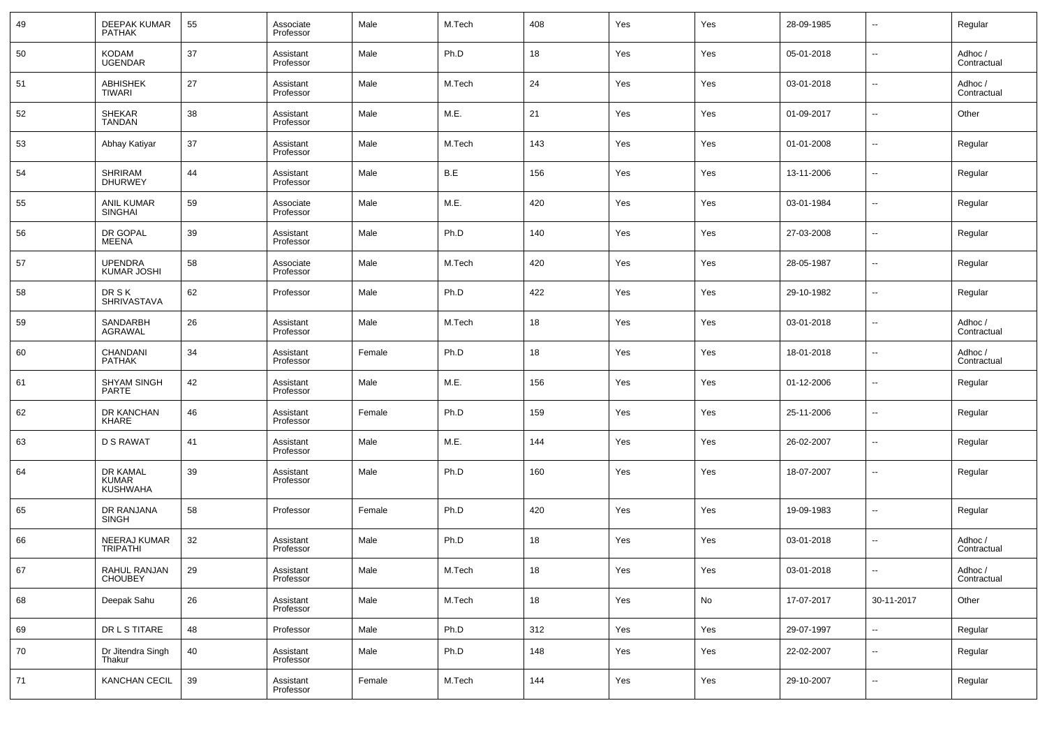| 49 | DEEPAK KUMAR<br><b>PATHAK</b>               | 55 | Associate<br>Professor | Male   | M.Tech | 408 | Yes | Yes | 28-09-1985 | --                       | Regular                |
|----|---------------------------------------------|----|------------------------|--------|--------|-----|-----|-----|------------|--------------------------|------------------------|
| 50 | <b>KODAM</b><br><b>UGENDAR</b>              | 37 | Assistant<br>Professor | Male   | Ph.D   | 18  | Yes | Yes | 05-01-2018 | --                       | Adhoc /<br>Contractual |
| 51 | <b>ABHISHEK</b><br>TIWARI                   | 27 | Assistant<br>Professor | Male   | M.Tech | 24  | Yes | Yes | 03-01-2018 | --                       | Adhoc /<br>Contractual |
| 52 | SHEKAR<br>TANDAN                            | 38 | Assistant<br>Professor | Male   | M.E.   | 21  | Yes | Yes | 01-09-2017 | --                       | Other                  |
| 53 | Abhay Katiyar                               | 37 | Assistant<br>Professor | Male   | M.Tech | 143 | Yes | Yes | 01-01-2008 | --                       | Regular                |
| 54 | SHRIRAM<br><b>DHURWEY</b>                   | 44 | Assistant<br>Professor | Male   | B.E    | 156 | Yes | Yes | 13-11-2006 | --                       | Regular                |
| 55 | ANIL KUMAR<br>SINGHAI                       | 59 | Associate<br>Professor | Male   | M.E.   | 420 | Yes | Yes | 03-01-1984 | --                       | Regular                |
| 56 | DR GOPAL<br>MEENA                           | 39 | Assistant<br>Professor | Male   | Ph.D   | 140 | Yes | Yes | 27-03-2008 | --                       | Regular                |
| 57 | <b>UPENDRA</b><br><b>KUMAR JOSHI</b>        | 58 | Associate<br>Professor | Male   | M.Tech | 420 | Yes | Yes | 28-05-1987 | --                       | Regular                |
| 58 | <b>DRSK</b><br><b>SHRIVASTAVA</b>           | 62 | Professor              | Male   | Ph.D   | 422 | Yes | Yes | 29-10-1982 | --                       | Regular                |
| 59 | SANDARBH<br>AGRAWAL                         | 26 | Assistant<br>Professor | Male   | M.Tech | 18  | Yes | Yes | 03-01-2018 | --                       | Adhoc /<br>Contractual |
| 60 | CHANDANI<br><b>PATHAK</b>                   | 34 | Assistant<br>Professor | Female | Ph.D   | 18  | Yes | Yes | 18-01-2018 | --                       | Adhoc /<br>Contractual |
| 61 | <b>SHYAM SINGH</b><br><b>PARTE</b>          | 42 | Assistant<br>Professor | Male   | M.E.   | 156 | Yes | Yes | 01-12-2006 | --                       | Regular                |
| 62 | DR KANCHAN<br>KHARE                         | 46 | Assistant<br>Professor | Female | Ph.D   | 159 | Yes | Yes | 25-11-2006 | --                       | Regular                |
| 63 | <b>D S RAWAT</b>                            | 41 | Assistant<br>Professor | Male   | M.E.   | 144 | Yes | Yes | 26-02-2007 | --                       | Regular                |
| 64 | DR KAMAL<br><b>KUMAR</b><br><b>KUSHWAHA</b> | 39 | Assistant<br>Professor | Male   | Ph.D   | 160 | Yes | Yes | 18-07-2007 | --                       | Regular                |
| 65 | DR RANJANA<br><b>SINGH</b>                  | 58 | Professor              | Female | Ph.D   | 420 | Yes | Yes | 19-09-1983 | $\overline{a}$           | Regular                |
| 66 | NEERAJ KUMAR<br>TRIPATHI                    | 32 | Assistant<br>Professor | Male   | Ph.D   | 18  | Yes | Yes | 03-01-2018 | н.                       | Adhoc /<br>Contractual |
| 67 | RAHUL RANJAN<br><b>CHOUBEY</b>              | 29 | Assistant<br>Professor | Male   | M.Tech | 18  | Yes | Yes | 03-01-2018 |                          | Adhoc /<br>Contractual |
| 68 | Deepak Sahu                                 | 26 | Assistant<br>Professor | Male   | M.Tech | 18  | Yes | No  | 17-07-2017 | 30-11-2017               | Other                  |
| 69 | DR L S TITARE                               | 48 | Professor              | Male   | Ph.D   | 312 | Yes | Yes | 29-07-1997 | ٠.                       | Regular                |
| 70 | Dr Jitendra Singh<br>Thakur                 | 40 | Assistant<br>Professor | Male   | Ph.D   | 148 | Yes | Yes | 22-02-2007 | $\overline{\phantom{a}}$ | Regular                |
| 71 | KANCHAN CECIL                               | 39 | Assistant<br>Professor | Female | M.Tech | 144 | Yes | Yes | 29-10-2007 | $\overline{\phantom{a}}$ | Regular                |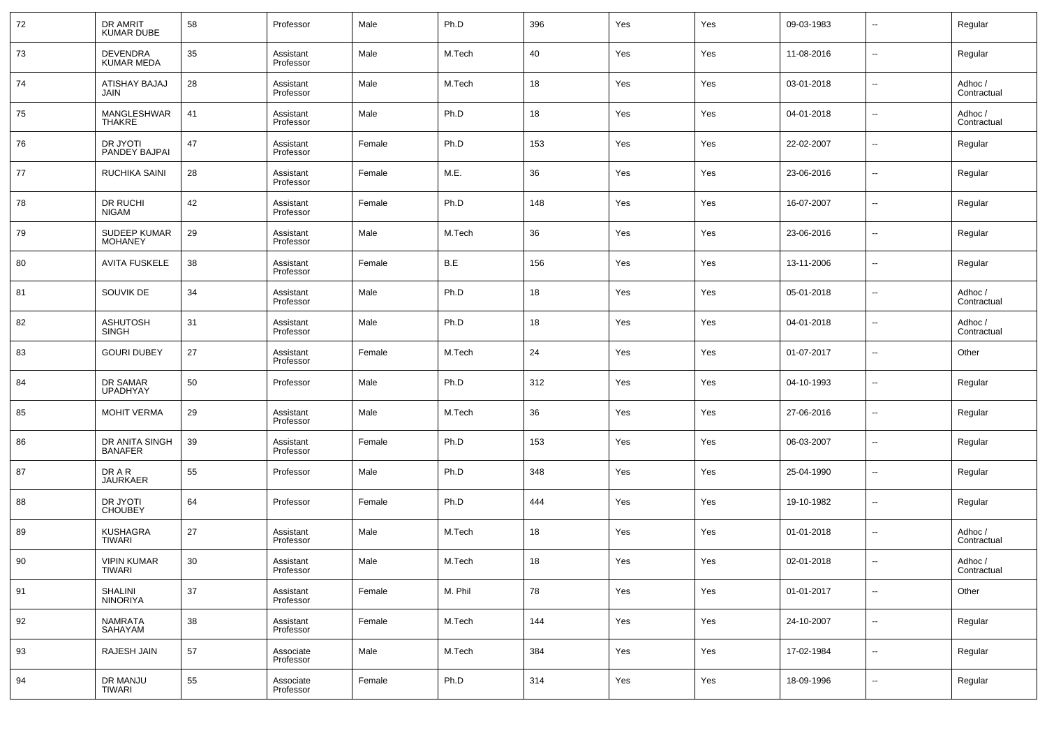| 72 | DR AMRIT<br><b>KUMAR DUBE</b>        | 58 | Professor              | Male   | Ph.D    | 396 | Yes | Yes | 09-03-1983 | $\sim$                   | Regular                |
|----|--------------------------------------|----|------------------------|--------|---------|-----|-----|-----|------------|--------------------------|------------------------|
| 73 | <b>DEVENDRA</b><br><b>KUMAR MEDA</b> | 35 | Assistant<br>Professor | Male   | M.Tech  | 40  | Yes | Yes | 11-08-2016 | $\sim$                   | Regular                |
| 74 | ATISHAY BAJAJ<br>JAIN                | 28 | Assistant<br>Professor | Male   | M.Tech  | 18  | Yes | Yes | 03-01-2018 | $\sim$                   | Adhoc /<br>Contractual |
| 75 | MANGLESHWAR<br><b>THAKRE</b>         | 41 | Assistant<br>Professor | Male   | Ph.D    | 18  | Yes | Yes | 04-01-2018 | $\sim$                   | Adhoc /<br>Contractual |
| 76 | DR JYOTI<br>PANDEY BAJPAI            | 47 | Assistant<br>Professor | Female | Ph.D    | 153 | Yes | Yes | 22-02-2007 | $\sim$                   | Regular                |
| 77 | RUCHIKA SAINI                        | 28 | Assistant<br>Professor | Female | M.E.    | 36  | Yes | Yes | 23-06-2016 | $\sim$                   | Regular                |
| 78 | DR RUCHI<br><b>NIGAM</b>             | 42 | Assistant<br>Professor | Female | Ph.D    | 148 | Yes | Yes | 16-07-2007 | $\sim$                   | Regular                |
| 79 | SUDEEP KUMAR<br><b>MOHANEY</b>       | 29 | Assistant<br>Professor | Male   | M.Tech  | 36  | Yes | Yes | 23-06-2016 | $\sim$                   | Regular                |
| 80 | <b>AVITA FUSKELE</b>                 | 38 | Assistant<br>Professor | Female | B.E     | 156 | Yes | Yes | 13-11-2006 | $\sim$                   | Regular                |
| 81 | SOUVIK DE                            | 34 | Assistant<br>Professor | Male   | Ph.D    | 18  | Yes | Yes | 05-01-2018 | $\overline{\phantom{a}}$ | Adhoc /<br>Contractual |
| 82 | <b>ASHUTOSH</b><br><b>SINGH</b>      | 31 | Assistant<br>Professor | Male   | Ph.D    | 18  | Yes | Yes | 04-01-2018 | $\sim$                   | Adhoc /<br>Contractual |
| 83 | <b>GOURI DUBEY</b>                   | 27 | Assistant<br>Professor | Female | M.Tech  | 24  | Yes | Yes | 01-07-2017 | $\overline{\phantom{a}}$ | Other                  |
| 84 | DR SAMAR<br><b>UPADHYAY</b>          | 50 | Professor              | Male   | Ph.D    | 312 | Yes | Yes | 04-10-1993 | $\sim$                   | Regular                |
| 85 | <b>MOHIT VERMA</b>                   | 29 | Assistant<br>Professor | Male   | M.Tech  | 36  | Yes | Yes | 27-06-2016 | $\sim$                   | Regular                |
| 86 | DR ANITA SINGH<br><b>BANAFER</b>     | 39 | Assistant<br>Professor | Female | Ph.D    | 153 | Yes | Yes | 06-03-2007 | $\sim$                   | Regular                |
| 87 | DR A R<br><b>JAURKAER</b>            | 55 | Professor              | Male   | Ph.D    | 348 | Yes | Yes | 25-04-1990 | $\sim$                   | Regular                |
| 88 | DR JYOTI<br><b>CHOUBEY</b>           | 64 | Professor              | Female | Ph.D    | 444 | Yes | Yes | 19-10-1982 | $\overline{\phantom{a}}$ | Regular                |
| 89 | <b>KUSHAGRA</b><br>TIWARI            | 27 | Assistant<br>Professor | Male   | M.Tech  | 18  | Yes | Yes | 01-01-2018 | $\sim$                   | Adhoc /<br>Contractual |
| 90 | <b>VIPIN KUMAR</b><br>TIWARI         | 30 | Assistant<br>Professor | Male   | M.Tech  | 18  | Yes | Yes | 02-01-2018 | $\overline{\phantom{a}}$ | Adhoc /<br>Contractual |
| 91 | SHALINI<br><b>NINORIYA</b>           | 37 | Assistant<br>Professor | Female | M. Phil | 78  | Yes | Yes | 01-01-2017 | $\sim$                   | Other                  |
| 92 | <b>NAMRATA</b><br>SAHAYAM            | 38 | Assistant<br>Professor | Female | M.Tech  | 144 | Yes | Yes | 24-10-2007 | $\sim$                   | Regular                |
| 93 | RAJESH JAIN                          | 57 | Associate<br>Professor | Male   | M.Tech  | 384 | Yes | Yes | 17-02-1984 | $\sim$                   | Regular                |
| 94 | DR MANJU<br><b>TIWARI</b>            | 55 | Associate<br>Professor | Female | Ph.D    | 314 | Yes | Yes | 18-09-1996 | $\overline{\phantom{a}}$ | Regular                |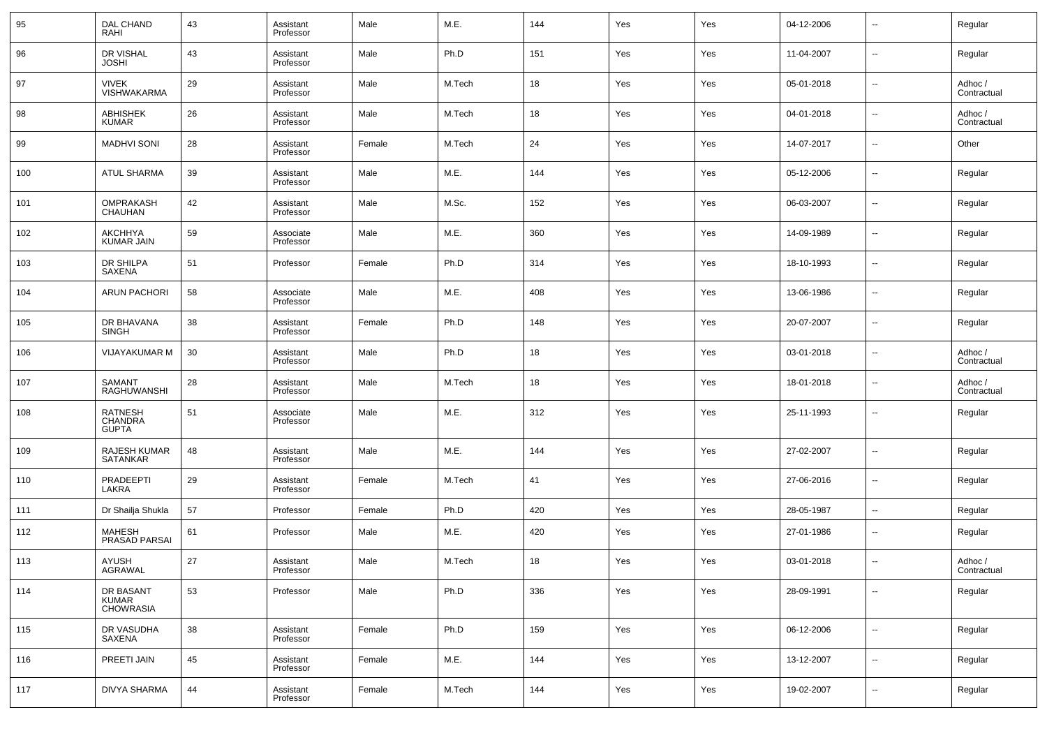| 95  | DAL CHAND<br>RAHI                             | 43 | Assistant<br>Professor | Male   | M.E.   | 144 | Yes | Yes | 04-12-2006 | --                       | Regular                |
|-----|-----------------------------------------------|----|------------------------|--------|--------|-----|-----|-----|------------|--------------------------|------------------------|
| 96  | DR VISHAL<br><b>JOSHI</b>                     | 43 | Assistant<br>Professor | Male   | Ph.D   | 151 | Yes | Yes | 11-04-2007 | --                       | Regular                |
| 97  | <b>VIVEK</b><br><b>VISHWAKARMA</b>            | 29 | Assistant<br>Professor | Male   | M.Tech | 18  | Yes | Yes | 05-01-2018 | --                       | Adhoc /<br>Contractual |
| 98  | <b>ABHISHEK</b><br><b>KUMAR</b>               | 26 | Assistant<br>Professor | Male   | M.Tech | 18  | Yes | Yes | 04-01-2018 | --                       | Adhoc /<br>Contractual |
| 99  | <b>MADHVI SONI</b>                            | 28 | Assistant<br>Professor | Female | M.Tech | 24  | Yes | Yes | 14-07-2017 | --                       | Other                  |
| 100 | <b>ATUL SHARMA</b>                            | 39 | Assistant<br>Professor | Male   | M.E.   | 144 | Yes | Yes | 05-12-2006 | н.                       | Regular                |
| 101 | OMPRAKASH<br><b>CHAUHAN</b>                   | 42 | Assistant<br>Professor | Male   | M.Sc.  | 152 | Yes | Yes | 06-03-2007 | --                       | Regular                |
| 102 | AKCHHYA<br><b>KUMAR JAIN</b>                  | 59 | Associate<br>Professor | Male   | M.E.   | 360 | Yes | Yes | 14-09-1989 | --                       | Regular                |
| 103 | DR SHILPA<br>SAXENA                           | 51 | Professor              | Female | Ph.D   | 314 | Yes | Yes | 18-10-1993 | --                       | Regular                |
| 104 | <b>ARUN PACHORI</b>                           | 58 | Associate<br>Professor | Male   | M.E.   | 408 | Yes | Yes | 13-06-1986 | --                       | Regular                |
| 105 | DR BHAVANA<br>SINGH                           | 38 | Assistant<br>Professor | Female | Ph.D   | 148 | Yes | Yes | 20-07-2007 | --                       | Regular                |
| 106 | VIJAYAKUMAR M                                 | 30 | Assistant<br>Professor | Male   | Ph.D   | 18  | Yes | Yes | 03-01-2018 | --                       | Adhoc /<br>Contractual |
| 107 | SAMANT<br>RAGHUWANSHI                         | 28 | Assistant<br>Professor | Male   | M.Tech | 18  | Yes | Yes | 18-01-2018 | --                       | Adhoc /<br>Contractual |
| 108 | <b>RATNESH</b><br>CHANDRA<br><b>GUPTA</b>     | 51 | Associate<br>Professor | Male   | M.E.   | 312 | Yes | Yes | 25-11-1993 | --                       | Regular                |
| 109 | RAJESH KUMAR<br><b>SATANKAR</b>               | 48 | Assistant<br>Professor | Male   | M.E.   | 144 | Yes | Yes | 27-02-2007 | ÷.                       | Regular                |
| 110 | PRADEEPTI<br>LAKRA                            | 29 | Assistant<br>Professor | Female | M.Tech | 41  | Yes | Yes | 27-06-2016 | ÷.                       | Regular                |
| 111 | Dr Shailja Shukla                             | 57 | Professor              | Female | Ph.D   | 420 | Yes | Yes | 28-05-1987 | $\overline{\phantom{a}}$ | Regular                |
| 112 | MAHESH<br>PRASAD PARSAI                       | 61 | Professor              | Male   | M.E.   | 420 | Yes | Yes | 27-01-1986 | --                       | Regular                |
| 113 | AYUSH<br>AGRAWAL                              | 27 | Assistant<br>Professor | Male   | M.Tech | 18  | Yes | Yes | 03-01-2018 | --                       | Adhoc /<br>Contractual |
| 114 | DR BASANT<br><b>KUMAR</b><br><b>CHOWRASIA</b> | 53 | Professor              | Male   | Ph.D   | 336 | Yes | Yes | 28-09-1991 | $\sim$                   | Regular                |
| 115 | DR VASUDHA<br>SAXENA                          | 38 | Assistant<br>Professor | Female | Ph.D   | 159 | Yes | Yes | 06-12-2006 | $\sim$                   | Regular                |
| 116 | PREETI JAIN                                   | 45 | Assistant<br>Professor | Female | M.E.   | 144 | Yes | Yes | 13-12-2007 | $\sim$                   | Regular                |
| 117 | <b>DIVYA SHARMA</b>                           | 44 | Assistant<br>Professor | Female | M.Tech | 144 | Yes | Yes | 19-02-2007 | $\overline{\phantom{a}}$ | Regular                |